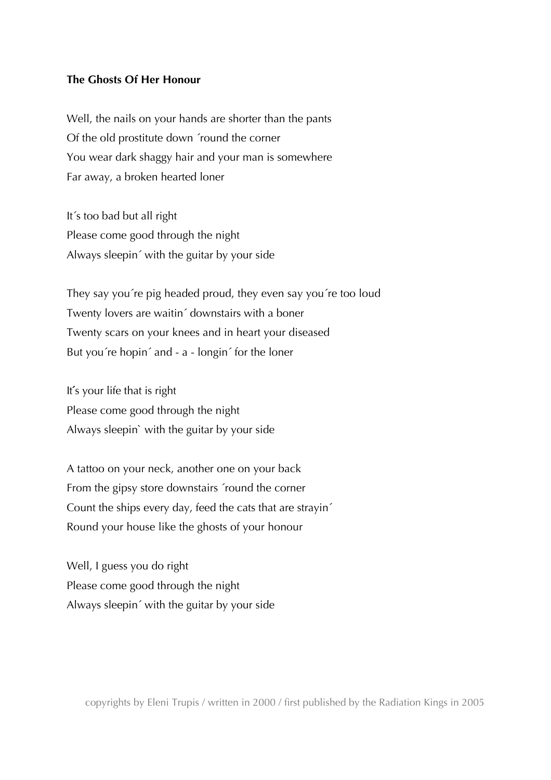## **The Ghosts Of Her Honour**

Well, the nails on your hands are shorter than the pants Of the old prostitute down ´round the corner You wear dark shaggy hair and your man is somewhere Far away, a broken hearted loner

It´s too bad but all right Please come good through the night Always sleepin´ with the guitar by your side

They say you´re pig headed proud, they even say you´re too loud Twenty lovers are waitin´ downstairs with a boner Twenty scars on your knees and in heart your diseased But you´re hopin´ and - a - longin´ for the loner

It's your life that is right Please come good through the night Always sleepin` with the guitar by your side

A tattoo on your neck, another one on your back From the gipsy store downstairs ´round the corner Count the ships every day, feed the cats that are strayin´ Round your house like the ghosts of your honour

Well, I guess you do right Please come good through the night Always sleepin´ with the guitar by your side